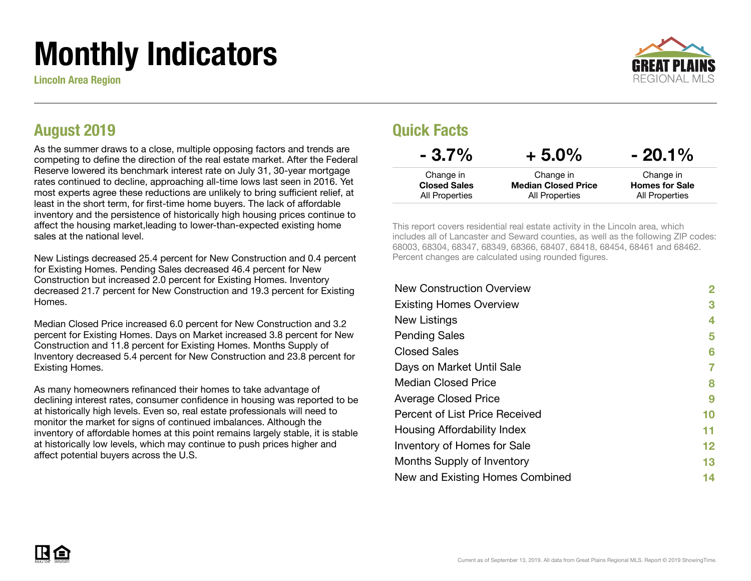# Monthly Indicators

Lincoln Area Region



#### August 2019

As the summer draws to a close, multiple opposing factors and trends are competing to define the direction of the real estate market. After the Federal Reserve lowered its benchmark interest rate on July 31, 30-year mortgage rates continued to decline, approaching all-time lows last seen in 2016. Yet most experts agree these reductions are unlikely to bring sufficient relief, at least in the short term, for first-time home buyers. The lack of affordable inventory and the persistence of historically high housing prices continue to affect the housing market,leading to lower-than-expected existing home sales at the national level.

New Listings decreased 25.4 percent for New Construction and 0.4 percent for Existing Homes. Pending Sales decreased 46.4 percent for New Construction but increased 2.0 percent for Existing Homes. Inventory decreased 21.7 percent for New Construction and 19.3 percent for Existing Homes.

Median Closed Price increased 6.0 percent for New Construction and 3.2 percent for Existing Homes. Days on Market increased 3.8 percent for New Construction and 11.8 percent for Existing Homes. Months Supply of Inventory decreased 5.4 percent for New Construction and 23.8 percent for Existing Homes.

As many homeowners refinanced their homes to take advantage of declining interest rates, consumer confidence in housing was reported to be at historically high levels. Even so, real estate professionals will need to monitor the market for signs of continued imbalances. Although the inventory of affordable homes at this point remains largely stable, it is stable at historically low levels, which may continue to push prices higher and affect potential buyers across the U.S.

#### Quick Facts

| $-3.7\%$            | $+5.0\%$                   | $-20.1\%$             |
|---------------------|----------------------------|-----------------------|
| Change in           | Change in                  | Change in             |
| <b>Closed Sales</b> | <b>Median Closed Price</b> | <b>Homes for Sale</b> |
| All Properties      | All Properties             | All Properties        |

This report covers residential real estate activity in the Lincoln area, which includes all of Lancaster and Seward counties, as well as the following ZIP codes: 68003, 68304, 68347, 68349, 68366, 68407, 68418, 68454, 68461 and 68462. Percent changes are calculated using rounded figures.

| <b>New Construction Overview</b> | 2       |
|----------------------------------|---------|
| <b>Existing Homes Overview</b>   | 3       |
| New Listings                     | 4       |
| <b>Pending Sales</b>             | 5       |
| <b>Closed Sales</b>              | 6       |
| Days on Market Until Sale        | 7       |
| <b>Median Closed Price</b>       | 8       |
| <b>Average Closed Price</b>      | 9       |
| Percent of List Price Received   | 10      |
| Housing Affordability Index      | 11      |
| Inventory of Homes for Sale      | $12 \,$ |
| Months Supply of Inventory       | 13      |
| New and Existing Homes Combined  | 14      |
|                                  |         |

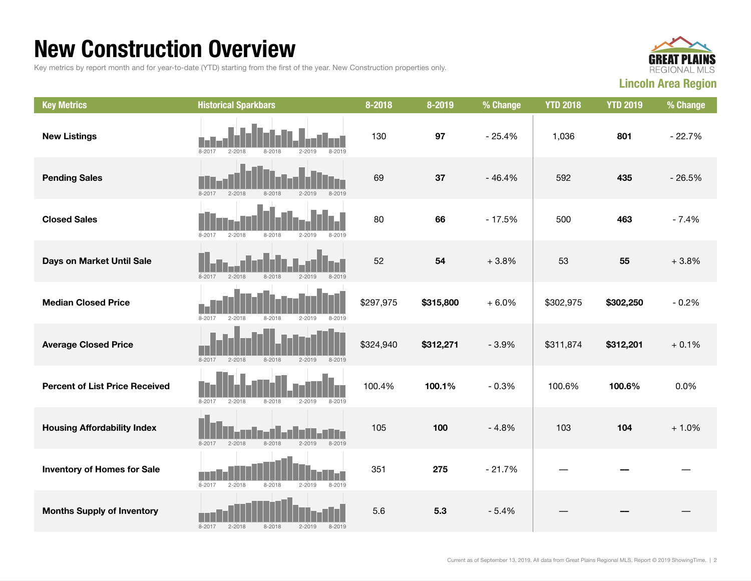#### New Construction Overview

Key metrics by report month and for year-to-date (YTD) starting from the first of the year. New Construction properties only.



| <b>Key Metrics</b>                    | <b>Historical Sparkbars</b>                                        | 8-2018    | 8-2019    | % Change | <b>YTD 2018</b> | <b>YTD 2019</b> | % Change |
|---------------------------------------|--------------------------------------------------------------------|-----------|-----------|----------|-----------------|-----------------|----------|
| <b>New Listings</b>                   | $8 - 2019$<br>$8 - 2017$<br>$2 - 2018$<br>$8 - 2018$<br>$2 - 2019$ | 130       | 97        | $-25.4%$ | 1,036           | 801             | $-22.7%$ |
| <b>Pending Sales</b>                  | $8 - 2017$<br>$2 - 2018$<br>$8 - 2018$<br>$2 - 2019$<br>$8 - 2019$ | 69        | 37        | $-46.4%$ | 592             | 435             | $-26.5%$ |
| <b>Closed Sales</b>                   | $2 - 2018$<br>$8 - 2017$<br>$8 - 2018$<br>$2 - 2019$<br>$8 - 2019$ | 80        | 66        | $-17.5%$ | 500             | 463             | $-7.4%$  |
| Days on Market Until Sale             | $8 - 2018$<br>$2 - 2019$<br>$8 - 2019$<br>$8 - 2017$<br>$2 - 2018$ | 52        | 54        | $+3.8%$  | 53              | 55              | $+3.8%$  |
| <b>Median Closed Price</b>            | 8-2017<br>$2 - 2018$<br>$8 - 2018$<br>$2 - 2019$<br>$8 - 2019$     | \$297,975 | \$315,800 | $+6.0%$  | \$302,975       | \$302,250       | $-0.2%$  |
| <b>Average Closed Price</b>           | $8 - 2017$<br>$2 - 2018$<br>$8 - 2018$<br>$2 - 2019$<br>$8 - 2019$ | \$324,940 | \$312,271 | $-3.9%$  | \$311,874       | \$312,201       | $+0.1%$  |
| <b>Percent of List Price Received</b> | $8 - 2017$<br>$2 - 2018$<br>$8 - 2018$<br>$2 - 2019$<br>8-2019     | 100.4%    | 100.1%    | $-0.3%$  | 100.6%          | 100.6%          | 0.0%     |
| <b>Housing Affordability Index</b>    | $8 - 2018$<br>$8 - 2019$<br>$8 - 2017$<br>$2 - 2019$<br>$2 - 2018$ | 105       | 100       | $-4.8%$  | 103             | 104             | $+1.0%$  |
| <b>Inventory of Homes for Sale</b>    | $2 - 2018$<br>$8 - 2018$<br>$8 - 2019$<br>$8 - 2017$<br>$2 - 2019$ | 351       | 275       | $-21.7%$ |                 |                 |          |
| <b>Months Supply of Inventory</b>     | $2 - 2018$<br>$8 - 2018$<br>$2 - 2019$<br>$8 - 2017$<br>$8 - 2019$ | 5.6       | 5.3       | $-5.4%$  |                 |                 |          |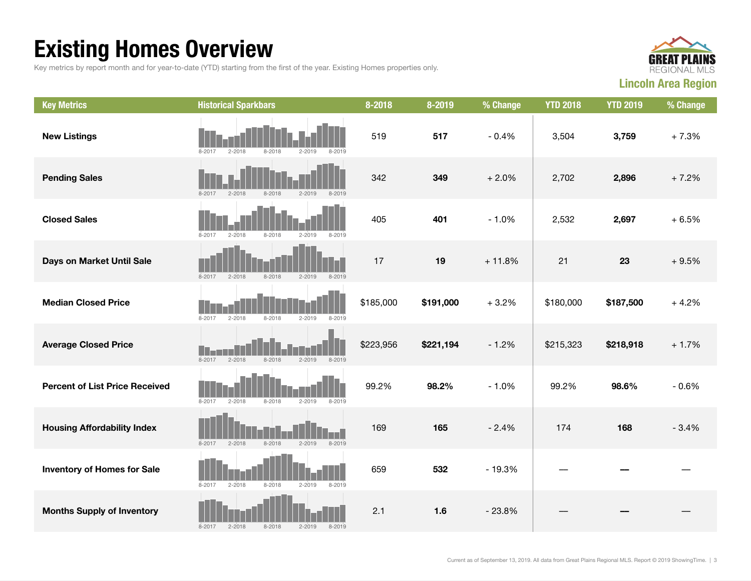## Existing Homes Overview

Key metrics by report month and for year-to-date (YTD) starting from the first of the year. Existing Homes properties only.



| <b>Key Metrics</b>                    | <b>Historical Sparkbars</b>                                        | 8-2018    | 8-2019    | % Change | <b>YTD 2018</b> | <b>YTD 2019</b> | % Change |
|---------------------------------------|--------------------------------------------------------------------|-----------|-----------|----------|-----------------|-----------------|----------|
| <b>New Listings</b>                   | 8-2018<br>$2 - 2019$<br>8-2017<br>2-2018<br>8-2019                 | 519       | 517       | $-0.4%$  | 3,504           | 3,759           | $+7.3%$  |
| <b>Pending Sales</b>                  | $8 - 2017$<br>$2 - 2018$<br>8-2018<br>$2 - 2019$<br>$8 - 2019$     | 342       | 349       | $+2.0%$  | 2,702           | 2,896           | $+7.2%$  |
| <b>Closed Sales</b>                   | $8 - 2017$<br>$2 - 2018$<br>$8 - 2018$<br>$2 - 2019$<br>$8 - 2019$ | 405       | 401       | $-1.0%$  | 2,532           | 2,697           | $+6.5%$  |
| Days on Market Until Sale             | $8 - 2018$<br>$2 - 2019$<br>$8 - 2019$<br>8-2017<br>$2 - 2018$     | 17        | 19        | $+11.8%$ | 21              | 23              | $+9.5%$  |
| <b>Median Closed Price</b>            | $8 - 2017$<br>$2 - 2018$<br>$8 - 2018$<br>$2 - 2019$<br>$8 - 2019$ | \$185,000 | \$191,000 | $+3.2%$  | \$180,000       | \$187,500       | $+4.2%$  |
| <b>Average Closed Price</b>           | $8 - 2017$<br>$8 - 2019$<br>$2 - 2018$<br>8-2018<br>$2 - 2019$     | \$223,956 | \$221,194 | $-1.2%$  | \$215,323       | \$218,918       | $+1.7%$  |
| <b>Percent of List Price Received</b> | $8 - 2017$<br>$2 - 2018$<br>$8 - 2018$<br>$2 - 2019$<br>$8 - 2019$ | 99.2%     | 98.2%     | $-1.0%$  | 99.2%           | 98.6%           | $-0.6%$  |
| <b>Housing Affordability Index</b>    | $2 - 2019$<br>$8 - 2017$<br>$2 - 2018$<br>$8 - 2018$<br>$8 - 2019$ | 169       | 165       | $-2.4%$  | 174             | 168             | $-3.4%$  |
| <b>Inventory of Homes for Sale</b>    | $8 - 2017$<br>$8 - 2018$<br>$2 - 2019$<br>$8 - 2019$<br>$2 - 2018$ | 659       | 532       | $-19.3%$ |                 |                 |          |
| <b>Months Supply of Inventory</b>     | $8 - 2017$<br>$2 - 2018$<br>$8 - 2018$<br>$2 - 2019$<br>$8 - 2019$ | 2.1       | 1.6       | $-23.8%$ |                 |                 |          |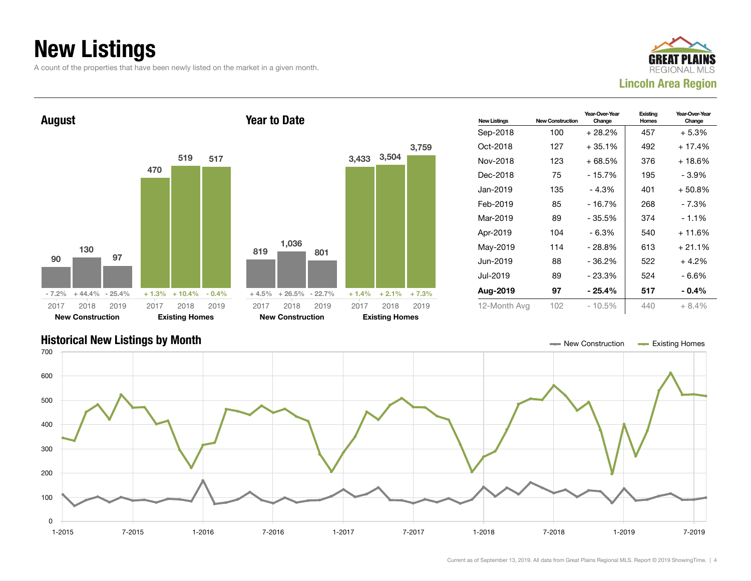### New Listings

A count of the properties that have been newly listed on the market in a given month.





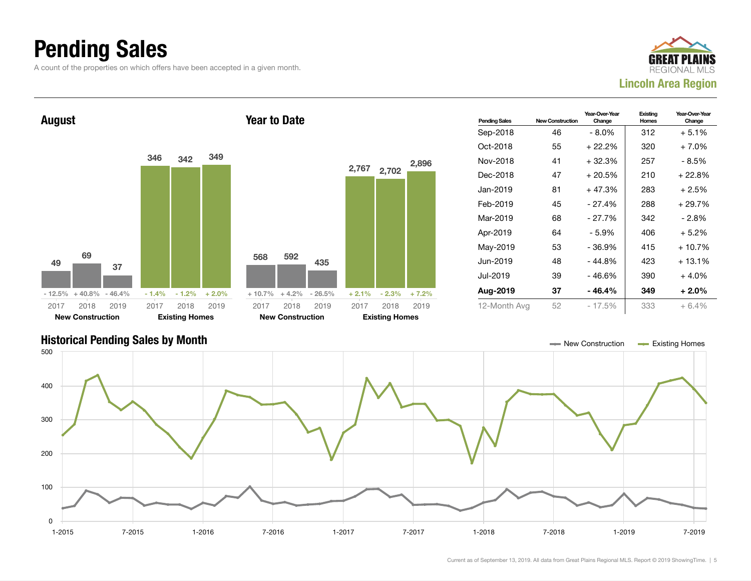#### Pending Sales

A count of the properties on which offers have been accepted in a given month.





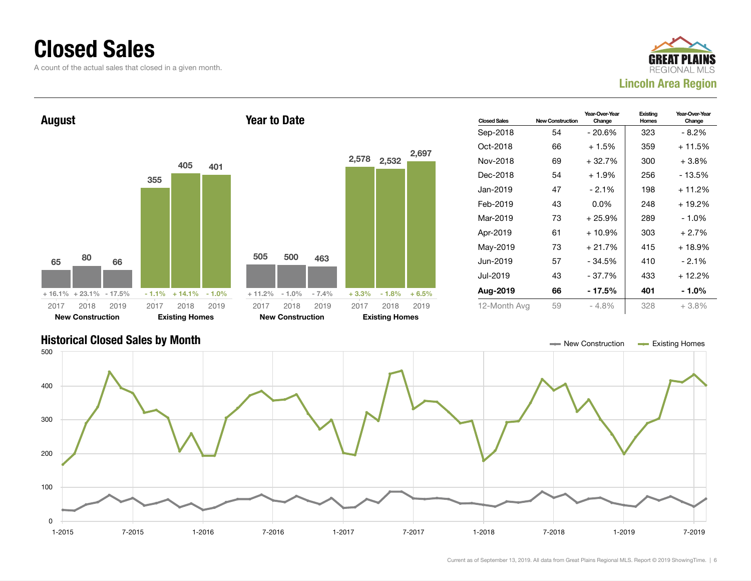#### Closed Sales

0

100

A count of the actual sales that closed in a given month.





1-2015 7-2015 1-2016 7-2016 1-2017 7-2017 1-2018 7-2018 1-2019 7-2019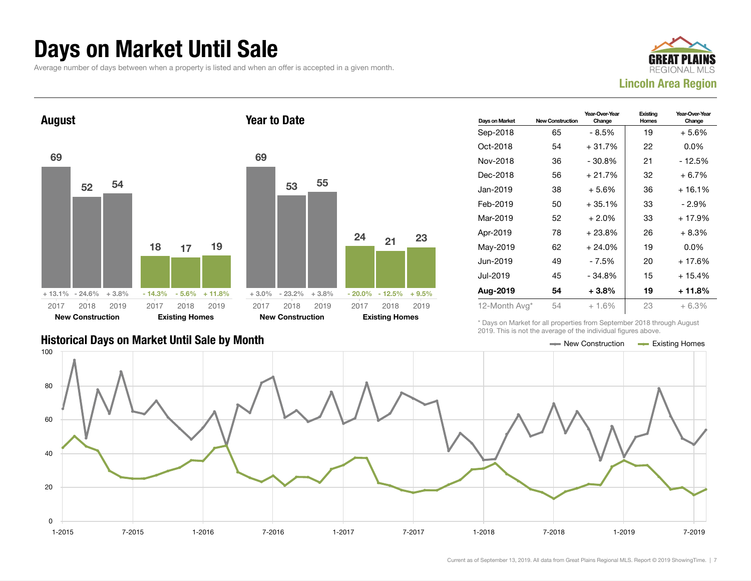#### Days on Market Until Sale

Average number of days between when a property is listed and when an offer is accepted in a given month.





| Days on Market | <b>New Construction</b> | Year-Over-Year<br>Change | Existing<br>Homes | Year-Over-Year<br>Change |
|----------------|-------------------------|--------------------------|-------------------|--------------------------|
| Sep-2018       | 65                      | - 8.5%                   | 19                | + 5.6%                   |
| Oct-2018       | 54                      | + 31.7%                  | 22                | $0.0\%$                  |
| Nov-2018       | 36                      | - 30.8%                  | 21                | - 12.5%                  |
| Dec-2018       | 56                      | $+21.7%$                 | 32                | $+6.7%$                  |
| Jan-2019       | 38                      | $+5.6%$                  | 36                | $+16.1%$                 |
| Feb-2019       | 50                      | $+35.1%$                 | 33                | - 2.9%                   |
| Mar-2019       | 52                      | $+2.0%$                  | 33                | $+17.9%$                 |
| Apr-2019       | 78                      | + 23.8%                  | 26                | $+8.3%$                  |
| May-2019       | 62                      | $+24.0%$                 | 19                | $0.0\%$                  |
| Jun-2019       | 49                      | - 7.5%                   | 20                | $+17.6%$                 |
| Jul-2019       | 45                      | $-34.8%$                 | 15                | $+15.4%$                 |
| Aug-2019       | 54                      | $+3.8\%$                 | 19                | $+11.8%$                 |
| 12-Month Avg*  | 54                      | $+1.6%$                  | 23                | $+6.3%$                  |

#### Historical Days on Market Until Sale by Month  $\blacksquare$  New Construction  $\blacksquare$  Existing Homes

\* Days on Market for all properties from September 2018 through August 2019. This is not the average of the individual figures above.

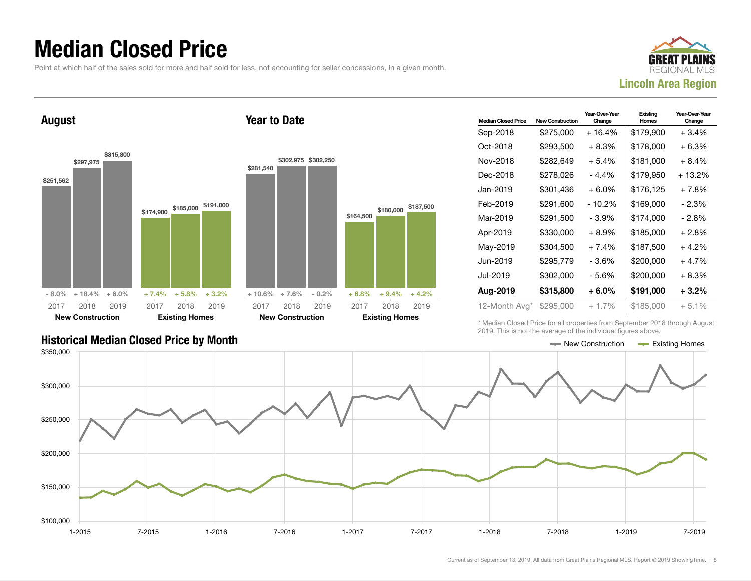#### Median Closed Price

Point at which half of the sales sold for more and half sold for less, not accounting for seller concessions, in a given month.

Year to Date



August



| <b>Median Closed Price</b> | <b>New Construction</b> | Year-Over-Year<br>Change | Existing<br>Homes | Year-Over-Year<br>Change |
|----------------------------|-------------------------|--------------------------|-------------------|--------------------------|
| Sep-2018                   | \$275,000               | $+16.4%$                 | \$179,900         | $+3.4%$                  |
| Oct-2018                   | \$293,500               | $+8.3%$                  | \$178,000         | $+6.3%$                  |
| Nov-2018                   | \$282,649               | $+5.4%$                  | \$181,000         | $+8.4%$                  |
| Dec-2018                   | \$278,026               | - 4.4%                   | \$179,950         | + 13.2%                  |
| Jan-2019                   | \$301.436               | $+6.0%$                  | \$176,125         | $+7.8%$                  |
| Feb-2019                   | \$291,600               | $-10.2%$                 | \$169,000         | $-2.3%$                  |
| Mar-2019                   | \$291,500               | - 3.9%                   | \$174.000         | - 2.8%                   |
| Apr-2019                   | \$330,000               | $+8.9\%$                 | \$185,000         | $+2.8%$                  |
| May-2019                   | \$304,500               | $+7.4%$                  | \$187,500         | $+4.2%$                  |
| Jun-2019                   | \$295,779               | - 3.6%                   | \$200,000         | $+4.7%$                  |
| Jul-2019                   | \$302,000               | - 5.6%                   | \$200,000         | $+8.3%$                  |
| Aug-2019                   | \$315,800               | $+6.0\%$                 | \$191,000         | $+3.2\%$                 |
| 12-Month Avg*              | \$295,000               | $+1.7\%$                 | \$185,000         | $+5.1%$                  |

Historical Median Closed Price by Month  $\blacksquare$ 

\* Median Closed Price for all properties from September 2018 through August 2019. This is not the average of the individual figures above.

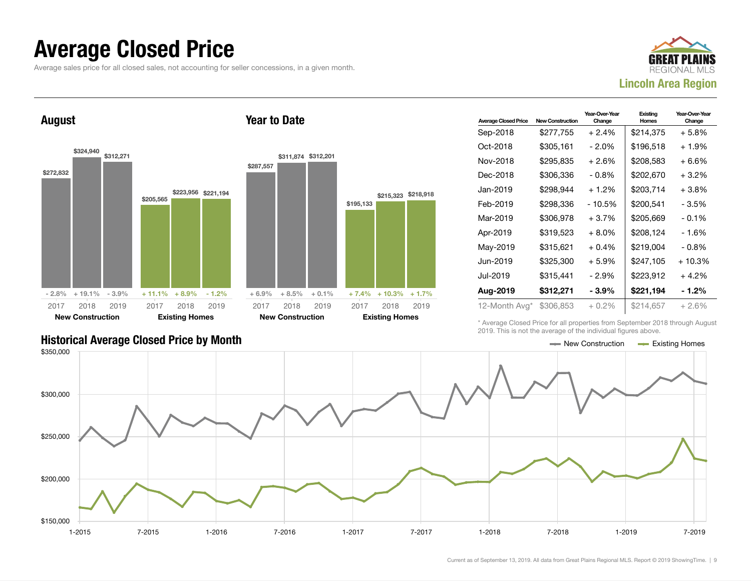#### Average Closed Price

Average sales price for all closed sales, not accounting for seller concessions, in a given month.



August



Year to Date

| <b>Average Closed Price</b> | <b>New Construction</b> | Year-Over-Year<br>Change | Existing<br><b>Homes</b> | Year-Over-Year<br>Change |
|-----------------------------|-------------------------|--------------------------|--------------------------|--------------------------|
| Sep-2018                    | \$277,755               | $+2.4%$                  | \$214,375                | + 5.8%                   |
| Oct-2018                    | \$305,161               | $-2.0\%$                 | \$196,518                | $+1.9%$                  |
| Nov-2018                    | \$295,835               | $+2.6%$                  | \$208,583                | + 6.6%                   |
| Dec-2018                    | \$306,336               | $-0.8\%$                 | \$202,670                | $+3.2\%$                 |
| Jan-2019                    | \$298,944               | $+1.2%$                  | \$203,714                | $+3.8\%$                 |
| Feb-2019                    | \$298.336               | - 10.5%                  | \$200,541                | - 3.5%                   |
| Mar-2019                    | \$306,978               | $+3.7%$                  | \$205.669                | $-0.1%$                  |
| Apr-2019                    | \$319,523               | $+8.0%$                  | \$208,124                | - 1.6%                   |
| May-2019                    | \$315,621               | $+0.4\%$                 | \$219,004                | $-0.8\%$                 |
| Jun-2019                    | \$325,300               | $+5.9%$                  | \$247,105                | $+10.3%$                 |
| Jul-2019                    | \$315,441               | - 2.9%                   | \$223,912                | $+4.2\%$                 |
| Aug-2019                    | \$312,271               | $-3.9%$                  | \$221,194                | $-1.2\%$                 |
| 12-Month Avg*               | \$306,853               | $+0.2\%$                 | \$214,657                | $+2.6%$                  |

Historical Average Closed Price by Month  $\blacksquare$ 

\* Average Closed Price for all properties from September 2018 through August 2019. This is not the average of the individual figures above.

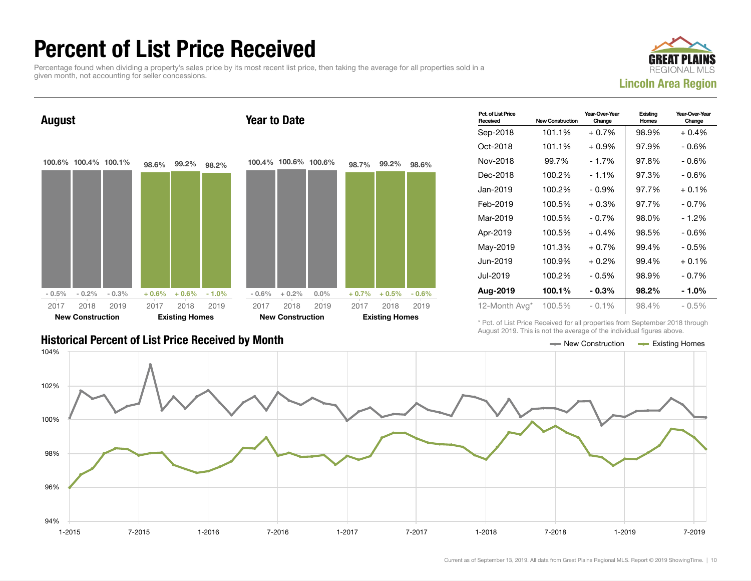#### Percent of List Price Received

Percentage found when dividing a property's sales price by its most recent list price, then taking the average for all properties sold in a given month, not accounting for seller concessions.





| Pct. of List Price<br>Received | <b>New Construction</b> | Year-Over-Year<br>Change | Existing<br>Homes | Year-Over-Year<br>Change |
|--------------------------------|-------------------------|--------------------------|-------------------|--------------------------|
| Sep-2018                       | 101.1%                  | + 0.7%                   | 98.9%             | $+0.4%$                  |
| Oct-2018                       | 101.1%                  | $+0.9\%$                 | 97.9%             | - 0.6%                   |
| Nov-2018                       | 99.7%                   | $-1.7%$                  | 97.8%             | $-0.6%$                  |
| Dec-2018                       | 100.2%                  | $-1.1%$                  | 97.3%             | $-0.6%$                  |
| Jan-2019                       | 100.2%                  | $-0.9\%$                 | 97.7%             | $+0.1%$                  |
| Feb-2019                       | 100.5%                  | $+0.3%$                  | 97.7%             | $-0.7%$                  |
| Mar-2019                       | 100.5%                  | $-0.7%$                  | 98.0%             | $-1.2%$                  |
| Apr-2019                       | 100.5%                  | $+0.4%$                  | 98.5%             | - 0.6%                   |
| May-2019                       | 101.3%                  | $+0.7%$                  | 99.4%             | $-0.5%$                  |
| Jun-2019                       | 100.9%                  | $+0.2%$                  | 99.4%             | $+0.1%$                  |
| Jul-2019                       | 100.2%                  | $-0.5%$                  | 98.9%             | $-0.7%$                  |
| Aug-2019                       | 100.1%                  | $-0.3%$                  | 98.2%             | $-1.0%$                  |
| 12-Month Avg*                  | 100.5%                  | $-0.1%$                  | 98.4%             | $-0.5\%$                 |

#### Historical Percent of List Price Received by Month New York 1997 1998 1999 New Construction According Homes

\* Pct. of List Price Received for all properties from September 2018 through August 2019. This is not the average of the individual figures above.

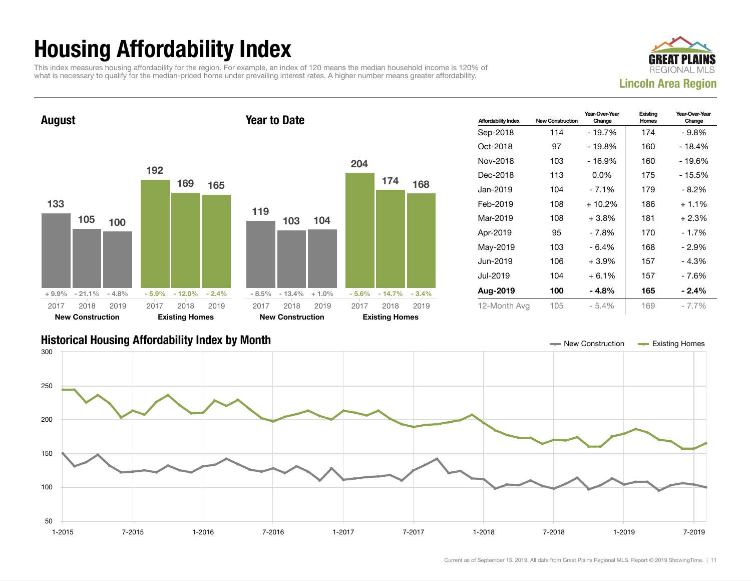# Housing Affordability Index

This index measures housing affordability for the region. For example, an index of 120 means the median household income is 120% of what is necessary to qualify for the median-priced home under prevailing interest rates. A higher number means greater affordability.





| <b>Affordability Index</b> | <b>New Construction</b> | Year-Over-Year<br>Change | Existing<br>Homes | Year-Over-Year<br>Change |
|----------------------------|-------------------------|--------------------------|-------------------|--------------------------|
| Sep-2018                   | 114                     | - 19.7%                  | 174               | $-9.8%$                  |
| Oct-2018                   | 97                      | $-19.8%$                 | 160               | $-18.4%$                 |
| Nov-2018                   | 103                     | $-16.9%$                 | 160               | - 19.6%                  |
| Dec-2018                   | 113                     | $0.0\%$                  | 175               | - 15.5%                  |
| Jan-2019                   | 104                     | $-7.1%$                  | 179               | - 8.2%                   |
| Feb-2019                   | 108                     | $+10.2%$                 | 186               | $+1.1\%$                 |
| Mar-2019                   | 108                     | $+3.8\%$                 | 181               | + 2.3%                   |
| Apr-2019                   | 95                      | - 7.8%                   | 170               | $-1.7%$                  |
| May-2019                   | 103                     | $-6.4%$                  | 168               | - 2.9%                   |
| Jun-2019                   | 106                     | $+3.9%$                  | 157               | $-4.3%$                  |
| Jul-2019                   | 104                     | $+6.1%$                  | 157               | - 7.6%                   |
| Aug-2019                   | 100                     | - 4.8%                   | 165               | $-2.4%$                  |
| 12-Month Avg               | 105                     | $-5.4%$                  | 169               | $-7.7\%$                 |

#### Historical Housing Affordability Index by Month New Construction Existing Homes

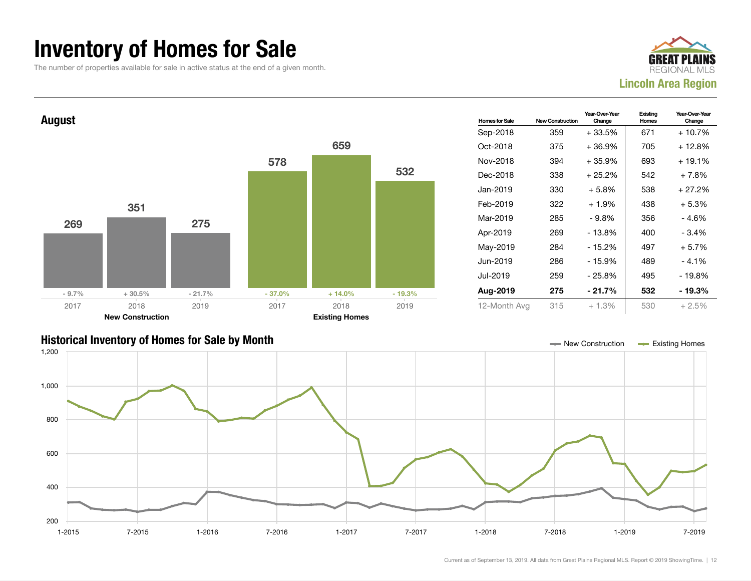#### Inventory of Homes for Sale

The number of properties available for sale in active status at the end of a given month.





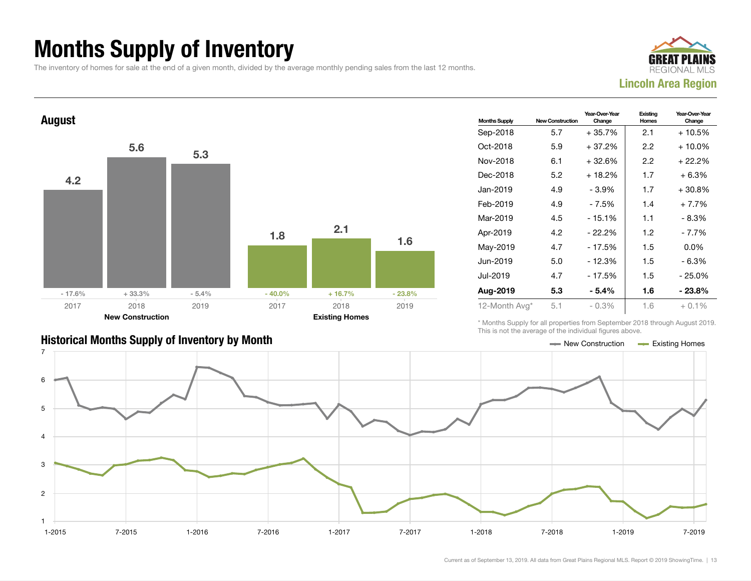### Months Supply of Inventory

The inventory of homes for sale at the end of a given month, divided by the average monthly pending sales from the last 12 months.





| <b>Months Supply</b> | <b>New Construction</b> | Year-Over-Year<br>Change | Existing<br>Homes | Year-Over-Year<br>Change |
|----------------------|-------------------------|--------------------------|-------------------|--------------------------|
| Sep-2018             | 5.7                     | $+35.7%$                 | 2.1               | + 10.5%                  |
| Oct-2018             | 5.9                     | $+37.2%$                 | 2.2               | $+10.0\%$                |
| Nov-2018             | 6.1                     | + 32.6%                  | 2.2               | + 22.2%                  |
| Dec-2018             | 5.2                     | + 18.2%                  | 1.7               | $+6.3%$                  |
| Jan-2019             | 4.9                     | $-3.9%$                  | 1.7               | $+30.8\%$                |
| Feb-2019             | 4.9                     | - 7.5%                   | 1.4               | $+7.7%$                  |
| Mar-2019             | 4.5                     | $-15.1%$                 | 1.1               | - 8.3%                   |
| Apr-2019             | 4.2                     | $-22.2%$                 | 1.2               | - 7.7%                   |
| May-2019             | 4.7                     | - 17.5%                  | 1.5               | $0.0\%$                  |
| Jun-2019             | 5.0                     | $-12.3%$                 | 1.5               | $-6.3%$                  |
| Jul-2019             | 4.7                     | $-17.5%$                 | 1.5               | - 25.0%                  |
| Aug-2019             | 5.3                     | - 5.4%                   | 1.6               | $-23.8%$                 |
| 12-Month Avg*        | 5.1                     | - 0.3%                   | 1.6               | $+0.1%$                  |

\* Months Supply for all properties from September 2018 through August 2019. This is not the average of the individual figures above.